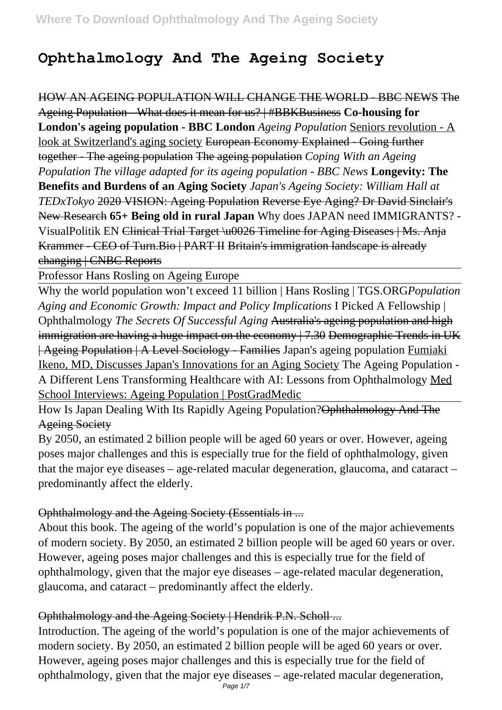## **Ophthalmology And The Ageing Society**

HOW AN AGEING POPULATION WILL CHANGE THE WORLD - BBC NEWS The Ageing Population - What does it mean for us? | #BBKBusiness **Co-housing for London's ageing population - BBC London** *Ageing Population* Seniors revolution - A look at Switzerland's aging society European Economy Explained - Going further together - The ageing population The ageing population *Coping With an Ageing Population The village adapted for its ageing population - BBC News* **Longevity: The Benefits and Burdens of an Aging Society** *Japan's Ageing Society: William Hall at TEDxTokyo* 2020 VISION: Ageing Population Reverse Eye Aging? Dr David Sinclair's New Research **65+ Being old in rural Japan** Why does JAPAN need IMMIGRANTS? - VisualPolitik EN Clinical Trial Target \u0026 Timeline for Aging Diseases | Ms. Anja Krammer - CEO of Turn.Bio | PART II Britain's immigration landscape is already changing | CNBC Reports

Professor Hans Rosling on Ageing Europe

Why the world population won't exceed 11 billion | Hans Rosling | TGS.ORG*Population Aging and Economic Growth: Impact and Policy Implications* I Picked A Fellowship | Ophthalmology *The Secrets Of Successful Aging* Australia's ageing population and high immigration are having a huge impact on the economy  $/7.30$  Demographic Trends in UK | Ageing Population | A Level Sociology - Families Japan's ageing population Fumiaki Ikeno, MD, Discusses Japan's Innovations for an Aging Society The Ageing Population - A Different Lens Transforming Healthcare with AI: Lessons from Ophthalmology Med School Interviews: Ageing Population | PostGradMedic

How Is Japan Dealing With Its Rapidly Ageing Population?Ophthalmology And The Ageing Society

By 2050, an estimated 2 billion people will be aged 60 years or over. However, ageing poses major challenges and this is especially true for the field of ophthalmology, given that the major eye diseases – age-related macular degeneration, glaucoma, and cataract – predominantly affect the elderly.

#### Ophthalmology and the Ageing Society (Essentials in ...

About this book. The ageing of the world's population is one of the major achievements of modern society. By 2050, an estimated 2 billion people will be aged 60 years or over. However, ageing poses major challenges and this is especially true for the field of ophthalmology, given that the major eye diseases – age-related macular degeneration, glaucoma, and cataract – predominantly affect the elderly.

## Ophthalmology and the Ageing Society | Hendrik P.N. Scholl ...

Introduction. The ageing of the world's population is one of the major achievements of modern society. By 2050, an estimated 2 billion people will be aged 60 years or over. However, ageing poses major challenges and this is especially true for the field of ophthalmology, given that the major eye diseases – age-related macular degeneration,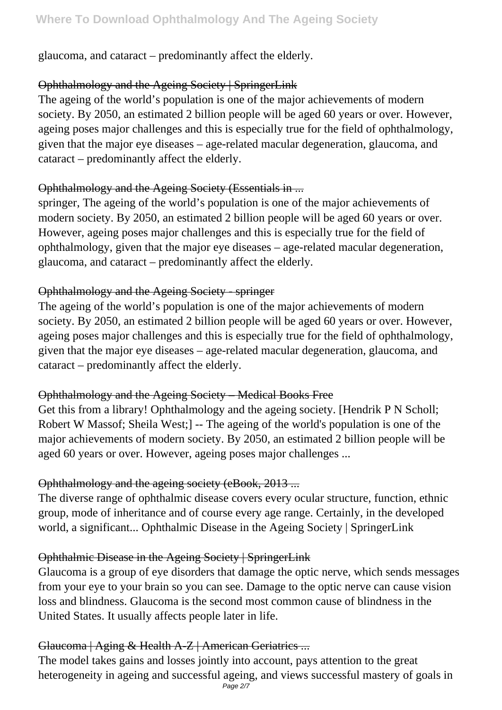glaucoma, and cataract – predominantly affect the elderly.

## Ophthalmology and the Ageing Society | SpringerLink

The ageing of the world's population is one of the major achievements of modern society. By 2050, an estimated 2 billion people will be aged 60 years or over. However, ageing poses major challenges and this is especially true for the field of ophthalmology, given that the major eye diseases – age-related macular degeneration, glaucoma, and cataract – predominantly affect the elderly.

## Ophthalmology and the Ageing Society (Essentials in ...

springer, The ageing of the world's population is one of the major achievements of modern society. By 2050, an estimated 2 billion people will be aged 60 years or over. However, ageing poses major challenges and this is especially true for the field of ophthalmology, given that the major eye diseases – age-related macular degeneration, glaucoma, and cataract – predominantly affect the elderly.

#### Ophthalmology and the Ageing Society - springer

The ageing of the world's population is one of the major achievements of modern society. By 2050, an estimated 2 billion people will be aged 60 years or over. However, ageing poses major challenges and this is especially true for the field of ophthalmology, given that the major eye diseases – age-related macular degeneration, glaucoma, and cataract – predominantly affect the elderly.

## Ophthalmology and the Ageing Society – Medical Books Free

Get this from a library! Ophthalmology and the ageing society. [Hendrik P N Scholl; Robert W Massof; Sheila West;] -- The ageing of the world's population is one of the major achievements of modern society. By 2050, an estimated 2 billion people will be aged 60 years or over. However, ageing poses major challenges ...

## Ophthalmology and the ageing society (eBook, 2013 ...

The diverse range of ophthalmic disease covers every ocular structure, function, ethnic group, mode of inheritance and of course every age range. Certainly, in the developed world, a significant... Ophthalmic Disease in the Ageing Society | SpringerLink

## Ophthalmic Disease in the Ageing Society | SpringerLink

Glaucoma is a group of eye disorders that damage the optic nerve, which sends messages from your eye to your brain so you can see. Damage to the optic nerve can cause vision loss and blindness. Glaucoma is the second most common cause of blindness in the United States. It usually affects people later in life.

## Glaucoma | Aging & Health A-Z | American Geriatrics ...

The model takes gains and losses jointly into account, pays attention to the great heterogeneity in ageing and successful ageing, and views successful mastery of goals in Page 2/7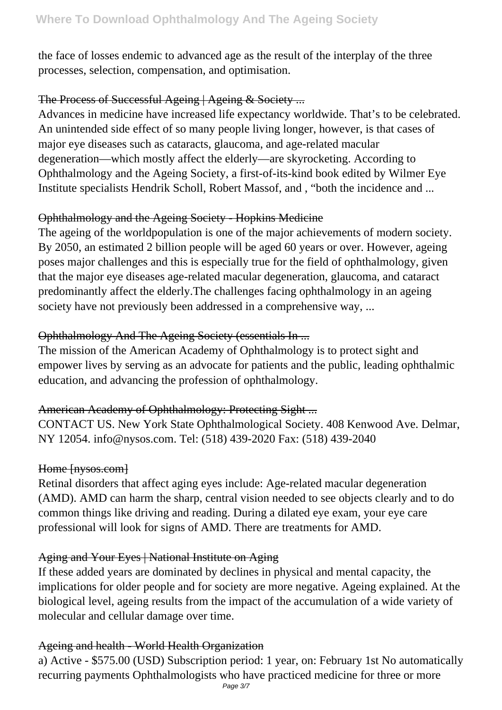the face of losses endemic to advanced age as the result of the interplay of the three processes, selection, compensation, and optimisation.

#### The Process of Successful Ageing | Ageing & Society ...

Advances in medicine have increased life expectancy worldwide. That's to be celebrated. An unintended side effect of so many people living longer, however, is that cases of major eye diseases such as cataracts, glaucoma, and age-related macular degeneration—which mostly affect the elderly—are skyrocketing. According to Ophthalmology and the Ageing Society, a first-of-its-kind book edited by Wilmer Eye Institute specialists Hendrik Scholl, Robert Massof, and , "both the incidence and ...

## Ophthalmology and the Ageing Society - Hopkins Medicine

The ageing of the worldpopulation is one of the major achievements of modern society. By 2050, an estimated 2 billion people will be aged 60 years or over. However, ageing poses major challenges and this is especially true for the field of ophthalmology, given that the major eye diseases age-related macular degeneration, glaucoma, and cataract predominantly affect the elderly.The challenges facing ophthalmology in an ageing society have not previously been addressed in a comprehensive way, ...

## Ophthalmology And The Ageing Society (essentials In ...

The mission of the American Academy of Ophthalmology is to protect sight and empower lives by serving as an advocate for patients and the public, leading ophthalmic education, and advancing the profession of ophthalmology.

## American Academy of Ophthalmology: Protecting Sight ...

CONTACT US. New York State Ophthalmological Society. 408 Kenwood Ave. Delmar, NY 12054. info@nysos.com. Tel: (518) 439-2020 Fax: (518) 439-2040

## Home [nysos.com]

Retinal disorders that affect aging eyes include: Age-related macular degeneration (AMD). AMD can harm the sharp, central vision needed to see objects clearly and to do common things like driving and reading. During a dilated eye exam, your eye care professional will look for signs of AMD. There are treatments for AMD.

## Aging and Your Eyes | National Institute on Aging

If these added years are dominated by declines in physical and mental capacity, the implications for older people and for society are more negative. Ageing explained. At the biological level, ageing results from the impact of the accumulation of a wide variety of molecular and cellular damage over time.

#### Ageing and health - World Health Organization

a) Active - \$575.00 (USD) Subscription period: 1 year, on: February 1st No automatically recurring payments Ophthalmologists who have practiced medicine for three or more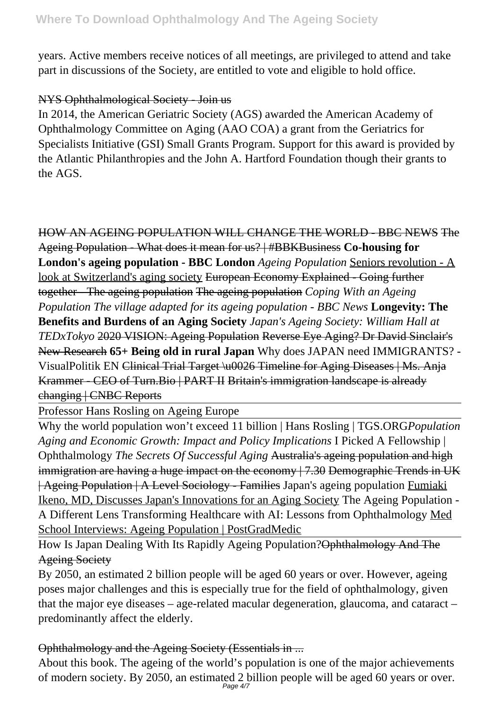years. Active members receive notices of all meetings, are privileged to attend and take part in discussions of the Society, are entitled to vote and eligible to hold office.

#### NYS Ophthalmological Society - Join us

In 2014, the American Geriatric Society (AGS) awarded the American Academy of Ophthalmology Committee on Aging (AAO COA) a grant from the Geriatrics for Specialists Initiative (GSI) Small Grants Program. Support for this award is provided by the Atlantic Philanthropies and the John A. Hartford Foundation though their grants to the AGS.

# HOW AN AGEING POPULATION WILL CHANGE THE WORLD - BBC NEWS The

Ageing Population - What does it mean for us? | #BBKBusiness **Co-housing for London's ageing population - BBC London** *Ageing Population* Seniors revolution - A look at Switzerland's aging society European Economy Explained - Going further together - The ageing population The ageing population *Coping With an Ageing Population The village adapted for its ageing population - BBC News* **Longevity: The Benefits and Burdens of an Aging Society** *Japan's Ageing Society: William Hall at TEDxTokyo* 2020 VISION: Ageing Population Reverse Eye Aging? Dr David Sinclair's New Research **65+ Being old in rural Japan** Why does JAPAN need IMMIGRANTS? - VisualPolitik EN Clinical Trial Target \u0026 Timeline for Aging Diseases | Ms. Anja

Krammer - CEO of Turn.Bio | PART II Britain's immigration landscape is already changing | CNBC Reports

Professor Hans Rosling on Ageing Europe

Why the world population won't exceed 11 billion | Hans Rosling | TGS.ORG*Population Aging and Economic Growth: Impact and Policy Implications* I Picked A Fellowship | Ophthalmology *The Secrets Of Successful Aging* Australia's ageing population and high immigration are having a huge impact on the economy | 7.30 Demographic Trends in UK | Ageing Population | A Level Sociology - Families Japan's ageing population Fumiaki Ikeno, MD, Discusses Japan's Innovations for an Aging Society The Ageing Population - A Different Lens Transforming Healthcare with AI: Lessons from Ophthalmology Med School Interviews: Ageing Population | PostGradMedic

How Is Japan Dealing With Its Rapidly Ageing Population?Ophthalmology And The Ageing Society

By 2050, an estimated 2 billion people will be aged 60 years or over. However, ageing poses major challenges and this is especially true for the field of ophthalmology, given that the major eye diseases – age-related macular degeneration, glaucoma, and cataract – predominantly affect the elderly.

## Ophthalmology and the Ageing Society (Essentials in ...

About this book. The ageing of the world's population is one of the major achievements of modern society. By 2050, an estimated 2 billion people will be aged 60 years or over.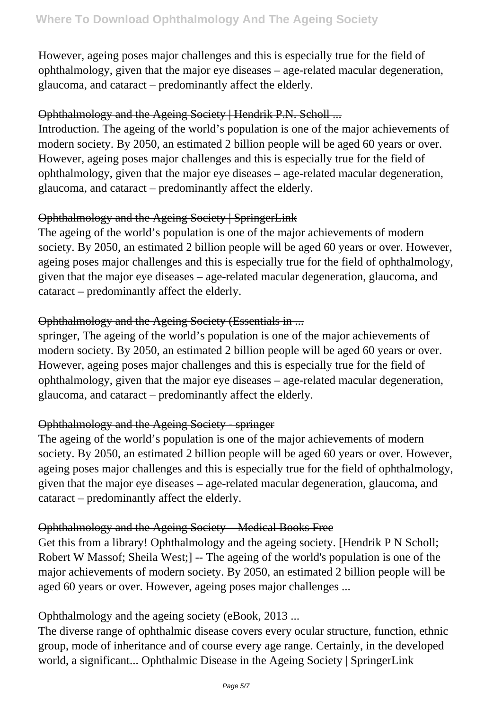However, ageing poses major challenges and this is especially true for the field of ophthalmology, given that the major eye diseases – age-related macular degeneration, glaucoma, and cataract – predominantly affect the elderly.

#### Ophthalmology and the Ageing Society | Hendrik P.N. Scholl ...

Introduction. The ageing of the world's population is one of the major achievements of modern society. By 2050, an estimated 2 billion people will be aged 60 years or over. However, ageing poses major challenges and this is especially true for the field of ophthalmology, given that the major eye diseases – age-related macular degeneration, glaucoma, and cataract – predominantly affect the elderly.

#### Ophthalmology and the Ageing Society | SpringerLink

The ageing of the world's population is one of the major achievements of modern society. By 2050, an estimated 2 billion people will be aged 60 years or over. However, ageing poses major challenges and this is especially true for the field of ophthalmology, given that the major eye diseases – age-related macular degeneration, glaucoma, and cataract – predominantly affect the elderly.

#### Ophthalmology and the Ageing Society (Essentials in ...

springer, The ageing of the world's population is one of the major achievements of modern society. By 2050, an estimated 2 billion people will be aged 60 years or over. However, ageing poses major challenges and this is especially true for the field of ophthalmology, given that the major eye diseases – age-related macular degeneration, glaucoma, and cataract – predominantly affect the elderly.

#### Ophthalmology and the Ageing Society - springer

The ageing of the world's population is one of the major achievements of modern society. By 2050, an estimated 2 billion people will be aged 60 years or over. However, ageing poses major challenges and this is especially true for the field of ophthalmology, given that the major eye diseases – age-related macular degeneration, glaucoma, and cataract – predominantly affect the elderly.

#### Ophthalmology and the Ageing Society – Medical Books Free

Get this from a library! Ophthalmology and the ageing society. [Hendrik P N Scholl; Robert W Massof; Sheila West;] -- The ageing of the world's population is one of the major achievements of modern society. By 2050, an estimated 2 billion people will be aged 60 years or over. However, ageing poses major challenges ...

#### Ophthalmology and the ageing society (eBook, 2013 ...

The diverse range of ophthalmic disease covers every ocular structure, function, ethnic group, mode of inheritance and of course every age range. Certainly, in the developed world, a significant... Ophthalmic Disease in the Ageing Society | SpringerLink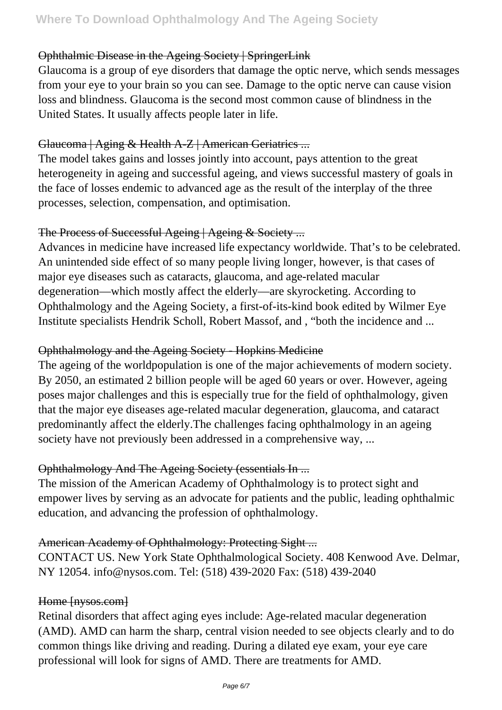#### Ophthalmic Disease in the Ageing Society | SpringerLink

Glaucoma is a group of eye disorders that damage the optic nerve, which sends messages from your eye to your brain so you can see. Damage to the optic nerve can cause vision loss and blindness. Glaucoma is the second most common cause of blindness in the United States. It usually affects people later in life.

#### Glaucoma | Aging & Health A-Z | American Geriatrics ...

The model takes gains and losses jointly into account, pays attention to the great heterogeneity in ageing and successful ageing, and views successful mastery of goals in the face of losses endemic to advanced age as the result of the interplay of the three processes, selection, compensation, and optimisation.

#### The Process of Successful Ageing | Ageing & Society ...

Advances in medicine have increased life expectancy worldwide. That's to be celebrated. An unintended side effect of so many people living longer, however, is that cases of major eye diseases such as cataracts, glaucoma, and age-related macular degeneration—which mostly affect the elderly—are skyrocketing. According to Ophthalmology and the Ageing Society, a first-of-its-kind book edited by Wilmer Eye Institute specialists Hendrik Scholl, Robert Massof, and , "both the incidence and ...

#### Ophthalmology and the Ageing Society - Hopkins Medicine

The ageing of the worldpopulation is one of the major achievements of modern society. By 2050, an estimated 2 billion people will be aged 60 years or over. However, ageing poses major challenges and this is especially true for the field of ophthalmology, given that the major eye diseases age-related macular degeneration, glaucoma, and cataract predominantly affect the elderly.The challenges facing ophthalmology in an ageing society have not previously been addressed in a comprehensive way, ...

## Ophthalmology And The Ageing Society (essentials In ...

The mission of the American Academy of Ophthalmology is to protect sight and empower lives by serving as an advocate for patients and the public, leading ophthalmic education, and advancing the profession of ophthalmology.

## American Academy of Ophthalmology: Protecting Sight ...

CONTACT US. New York State Ophthalmological Society. 408 Kenwood Ave. Delmar, NY 12054. info@nysos.com. Tel: (518) 439-2020 Fax: (518) 439-2040

#### Home [nysos.com]

Retinal disorders that affect aging eyes include: Age-related macular degeneration (AMD). AMD can harm the sharp, central vision needed to see objects clearly and to do common things like driving and reading. During a dilated eye exam, your eye care professional will look for signs of AMD. There are treatments for AMD.